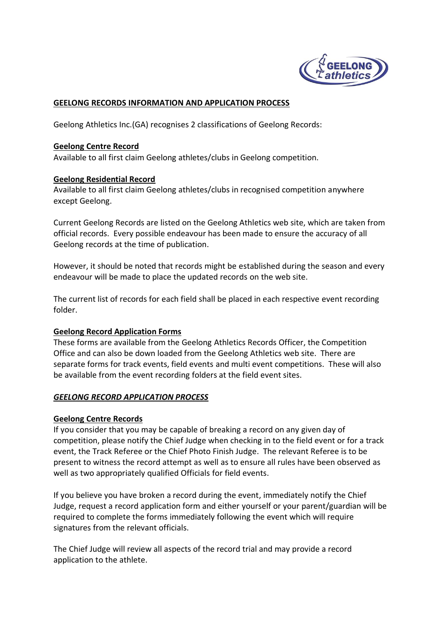

# **GEELONG RECORDS INFORMATION AND APPLICATION PROCESS**

Geelong Athletics Inc.(GA) recognises 2 classifications of Geelong Records:

#### **Geelong Centre Record**

Available to all first claim Geelong athletes/clubs in Geelong competition.

### **Geelong Residential Record**

Available to all first claim Geelong athletes/clubs in recognised competition anywhere except Geelong.

Current Geelong Records are listed on the Geelong Athletics web site, which are taken from official records. Every possible endeavour has been made to ensure the accuracy of all Geelong records at the time of publication.

However, it should be noted that records might be established during the season and every endeavour will be made to place the updated records on the web site.

The current list of records for each field shall be placed in each respective event recording folder.

### **Geelong Record Application Forms**

These forms are available from the Geelong Athletics Records Officer, the Competition Office and can also be down loaded from the Geelong Athletics web site. There are separate forms for track events, field events and multi event competitions. These will also be available from the event recording folders at the field event sites.

### *GEELONG RECORD APPLICATION PROCESS*

### **Geelong Centre Records**

If you consider that you may be capable of breaking a record on any given day of competition, please notify the Chief Judge when checking in to the field event or for a track event, the Track Referee or the Chief Photo Finish Judge. The relevant Referee is to be present to witness the record attempt as well as to ensure all rules have been observed as well as two appropriately qualified Officials for field events.

If you believe you have broken a record during the event, immediately notify the Chief Judge, request a record application form and either yourself or your parent/guardian will be required to complete the forms immediately following the event which will require signatures from the relevant officials.

The Chief Judge will review all aspects of the record trial and may provide a record application to the athlete.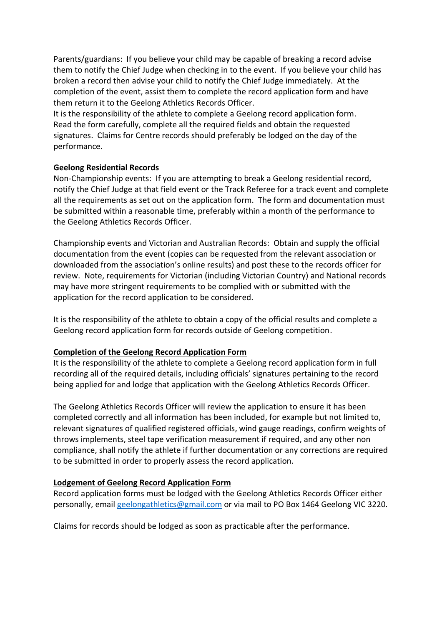Parents/guardians: If you believe your child may be capable of breaking a record advise them to notify the Chief Judge when checking in to the event. If you believe your child has broken a record then advise your child to notify the Chief Judge immediately. At the completion of the event, assist them to complete the record application form and have them return it to the Geelong Athletics Records Officer.

It is the responsibility of the athlete to complete a Geelong record application form. Read the form carefully, complete all the required fields and obtain the requested signatures. Claims for Centre records should preferably be lodged on the day of the performance.

## **Geelong Residential Records**

Non-Championship events: If you are attempting to break a Geelong residential record, notify the Chief Judge at that field event or the Track Referee for a track event and complete all the requirements as set out on the application form. The form and documentation must be submitted within a reasonable time, preferably within a month of the performance to the Geelong Athletics Records Officer.

Championship events and Victorian and Australian Records: Obtain and supply the official documentation from the event (copies can be requested from the relevant association or downloaded from the association's online results) and post these to the records officer for review. Note, requirements for Victorian (including Victorian Country) and National records may have more stringent requirements to be complied with or submitted with the application for the record application to be considered.

It is the responsibility of the athlete to obtain a copy of the official results and complete a Geelong record application form for records outside of Geelong competition.

### **Completion of the Geelong Record Application Form**

It is the responsibility of the athlete to complete a Geelong record application form in full recording all of the required details, including officials' signatures pertaining to the record being applied for and lodge that application with the Geelong Athletics Records Officer.

The Geelong Athletics Records Officer will review the application to ensure it has been completed correctly and all information has been included, for example but not limited to, relevant signatures of qualified registered officials, wind gauge readings, confirm weights of throws implements, steel tape verification measurement if required, and any other non compliance, shall notify the athlete if further documentation or any corrections are required to be submitted in order to properly assess the record application.

### **Lodgement of Geelong Record Application Form**

Record application forms must be lodged with the Geelong Athletics Records Officer either personally, email geelongathletics@gmail.com or via mail to PO Box 1464 Geelong VIC 3220.

Claims for records should be lodged as soon as practicable after the performance.